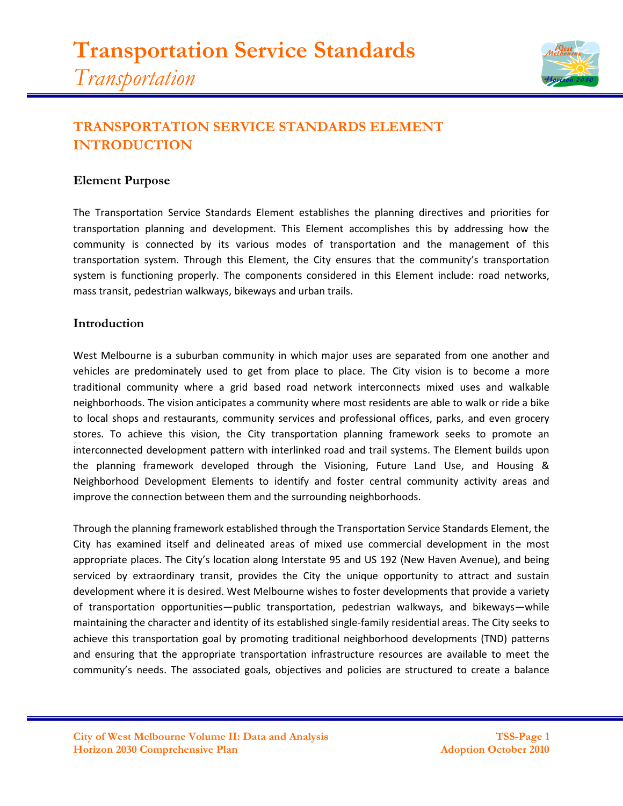

# **TRANSPORTATION SERVICE STANDARDS ELEMENT INTRODUCTION**

#### **Element Purpose**

The Transportation Service Standards Element establishes the planning directives and priorities for transportation planning and development. This Element accomplishes this by addressing how the community is connected by its various modes of transportation and the management of this transportation system. Through this Element, the City ensures that the community's transportation system is functioning properly. The components considered in this Element include: road networks, mass transit, pedestrian walkways, bikeways and urban trails.

#### **Introduction**

West Melbourne is a suburban community in which major uses are separated from one another and vehicles are predominately used to get from place to place. The City vision is to become a more traditional community where a grid based road network interconnects mixed uses and walkable neighborhoods. The vision anticipates a community where most residents are able to walk or ride a bike to local shops and restaurants, community services and professional offices, parks, and even grocery stores. To achieve this vision, the City transportation planning framework seeks to promote an interconnected development pattern with interlinked road and trail systems. The Element builds upon the planning framework developed through the Visioning, Future Land Use, and Housing & Neighborhood Development Elements to identify and foster central community activity areas and improve the connection between them and the surrounding neighborhoods.

Through the planning framework established through the Transportation Service Standards Element, the City has examined itself and delineated areas of mixed use commercial development in the most appropriate places. The City's location along Interstate 95 and US 192 (New Haven Avenue), and being serviced by extraordinary transit, provides the City the unique opportunity to attract and sustain development where it is desired. West Melbourne wishes to foster developments that provide a variety of transportation opportunities—public transportation, pedestrian walkways, and bikeways—while maintaining the character and identity of its established single-family residential areas. The City seeks to achieve this transportation goal by promoting traditional neighborhood developments (TND) patterns and ensuring that the appropriate transportation infrastructure resources are available to meet the community's needs. The associated goals, objectives and policies are structured to create a balance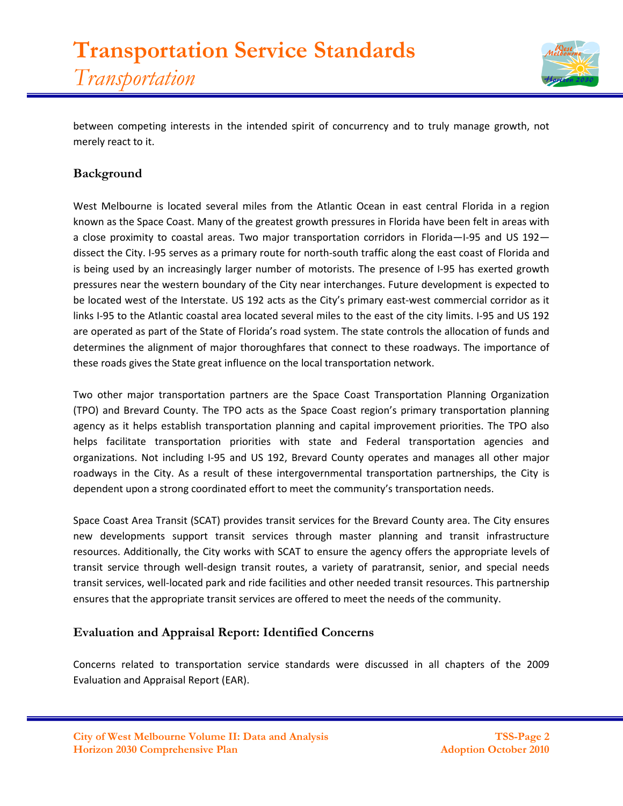

between competing interests in the intended spirit of concurrency and to truly manage growth, not merely react to it.

# **Background**

West Melbourne is located several miles from the Atlantic Ocean in east central Florida in a region known as the Space Coast. Many of the greatest growth pressures in Florida have been felt in areas with a close proximity to coastal areas. Two major transportation corridors in Florida—I-95 and US 192 dissect the City. I-95 serves as a primary route for north-south traffic along the east coast of Florida and is being used by an increasingly larger number of motorists. The presence of I-95 has exerted growth pressures near the western boundary of the City near interchanges. Future development is expected to be located west of the Interstate. US 192 acts as the City's primary east-west commercial corridor as it links I-95 to the Atlantic coastal area located several miles to the east of the city limits. I-95 and US 192 are operated as part of the State of Florida's road system. The state controls the allocation of funds and determines the alignment of major thoroughfares that connect to these roadways. The importance of these roads gives the State great influence on the local transportation network.

Two other major transportation partners are the Space Coast Transportation Planning Organization (TPO) and Brevard County. The TPO acts as the Space Coast region's primary transportation planning agency as it helps establish transportation planning and capital improvement priorities. The TPO also helps facilitate transportation priorities with state and Federal transportation agencies and organizations. Not including I-95 and US 192, Brevard County operates and manages all other major roadways in the City. As a result of these intergovernmental transportation partnerships, the City is dependent upon a strong coordinated effort to meet the community's transportation needs.

Space Coast Area Transit (SCAT) provides transit services for the Brevard County area. The City ensures new developments support transit services through master planning and transit infrastructure resources. Additionally, the City works with SCAT to ensure the agency offers the appropriate levels of transit service through well-design transit routes, a variety of paratransit, senior, and special needs transit services, well-located park and ride facilities and other needed transit resources. This partnership ensures that the appropriate transit services are offered to meet the needs of the community.

# **Evaluation and Appraisal Report: Identified Concerns**

Concerns related to transportation service standards were discussed in all chapters of the 2009 Evaluation and Appraisal Report (EAR).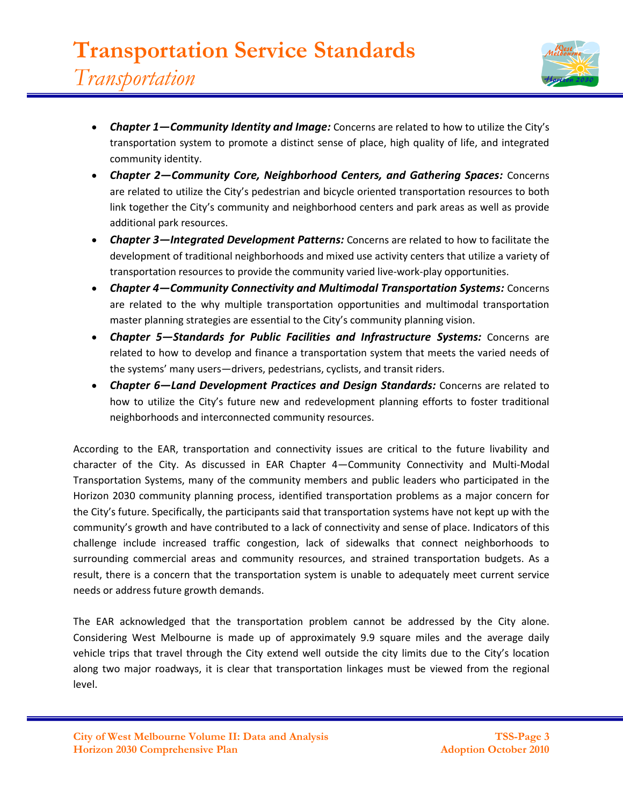

- *Chapter 1—Community Identity and Image:* Concerns are related to how to utilize the City's transportation system to promote a distinct sense of place, high quality of life, and integrated community identity.
- *Chapter 2—Community Core, Neighborhood Centers, and Gathering Spaces:* Concerns are related to utilize the City's pedestrian and bicycle oriented transportation resources to both link together the City's community and neighborhood centers and park areas as well as provide additional park resources.
- *Chapter 3—Integrated Development Patterns:* Concerns are related to how to facilitate the development of traditional neighborhoods and mixed use activity centers that utilize a variety of transportation resources to provide the community varied live-work-play opportunities.
- *Chapter 4—Community Connectivity and Multimodal Transportation Systems:* Concerns are related to the why multiple transportation opportunities and multimodal transportation master planning strategies are essential to the City's community planning vision.
- *Chapter 5—Standards for Public Facilities and Infrastructure Systems:* Concerns are related to how to develop and finance a transportation system that meets the varied needs of the systems' many users—drivers, pedestrians, cyclists, and transit riders.
- *Chapter 6—Land Development Practices and Design Standards:* Concerns are related to how to utilize the City's future new and redevelopment planning efforts to foster traditional neighborhoods and interconnected community resources.

According to the EAR, transportation and connectivity issues are critical to the future livability and character of the City. As discussed in EAR Chapter 4—Community Connectivity and Multi-Modal Transportation Systems, many of the community members and public leaders who participated in the Horizon 2030 community planning process, identified transportation problems as a major concern for the City's future. Specifically, the participants said that transportation systems have not kept up with the community's growth and have contributed to a lack of connectivity and sense of place. Indicators of this challenge include increased traffic congestion, lack of sidewalks that connect neighborhoods to surrounding commercial areas and community resources, and strained transportation budgets. As a result, there is a concern that the transportation system is unable to adequately meet current service needs or address future growth demands.

The EAR acknowledged that the transportation problem cannot be addressed by the City alone. Considering West Melbourne is made up of approximately 9.9 square miles and the average daily vehicle trips that travel through the City extend well outside the city limits due to the City's location along two major roadways, it is clear that transportation linkages must be viewed from the regional level.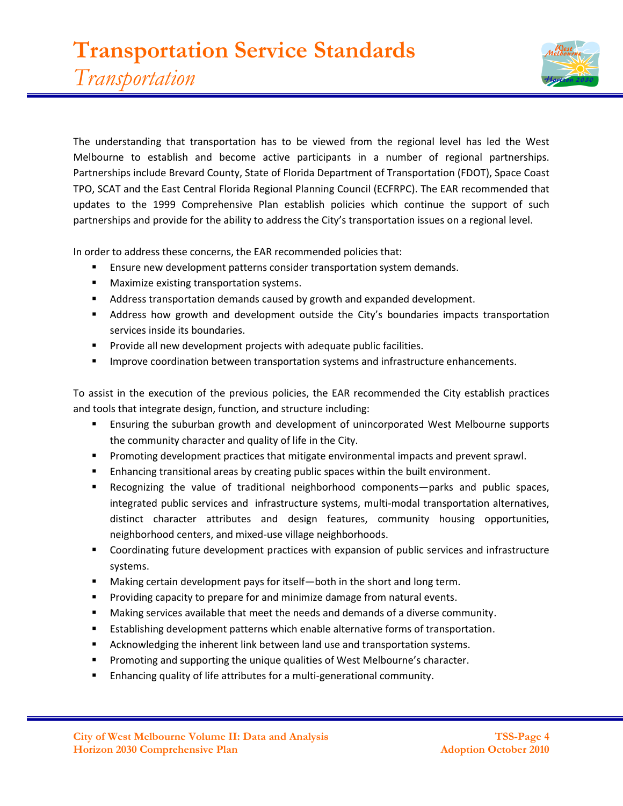

The understanding that transportation has to be viewed from the regional level has led the West Melbourne to establish and become active participants in a number of regional partnerships. Partnerships include Brevard County, State of Florida Department of Transportation (FDOT), Space Coast TPO, SCAT and the East Central Florida Regional Planning Council (ECFRPC). The EAR recommended that updates to the 1999 Comprehensive Plan establish policies which continue the support of such partnerships and provide for the ability to address the City's transportation issues on a regional level.

In order to address these concerns, the EAR recommended policies that:

- **Ensure new development patterns consider transportation system demands.**
- **Maximize existing transportation systems.**
- **Address transportation demands caused by growth and expanded development.**
- Address how growth and development outside the City's boundaries impacts transportation services inside its boundaries.
- **Provide all new development projects with adequate public facilities.**
- **IMPROVE COORDINATION between transportation systems and infrastructure enhancements.**

To assist in the execution of the previous policies, the EAR recommended the City establish practices and tools that integrate design, function, and structure including:

- Ensuring the suburban growth and development of unincorporated West Melbourne supports the community character and quality of life in the City.
- **Promoting development practices that mitigate environmental impacts and prevent sprawl.**
- Enhancing transitional areas by creating public spaces within the built environment.
- Recognizing the value of traditional neighborhood components—parks and public spaces, integrated public services and infrastructure systems, multi-modal transportation alternatives, distinct character attributes and design features, community housing opportunities, neighborhood centers, and mixed-use village neighborhoods.
- Coordinating future development practices with expansion of public services and infrastructure systems.
- Making certain development pays for itself—both in the short and long term.
- **Providing capacity to prepare for and minimize damage from natural events.**
- Making services available that meet the needs and demands of a diverse community.
- **Establishing development patterns which enable alternative forms of transportation.**
- Acknowledging the inherent link between land use and transportation systems.
- **Promoting and supporting the unique qualities of West Melbourne's character.**
- Enhancing quality of life attributes for a multi-generational community.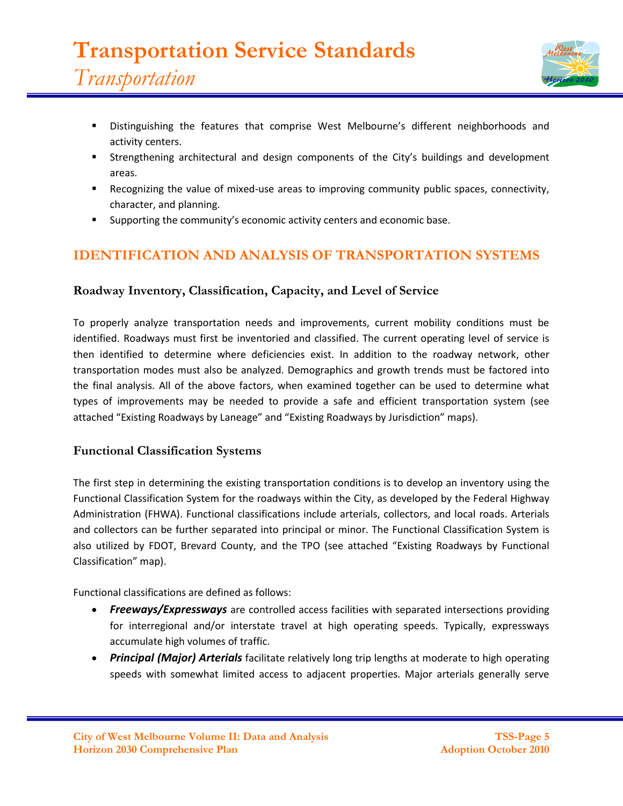

- Distinguishing the features that comprise West Melbourne's different neighborhoods and activity centers.
- Strengthening architectural and design components of the City's buildings and development areas.
- Recognizing the value of mixed-use areas to improving community public spaces, connectivity, character, and planning.
- Supporting the community's economic activity centers and economic base.

# **IDENTIFICATION AND ANALYSIS OF TRANSPORTATION SYSTEMS**

## **Roadway Inventory, Classification, Capacity, and Level of Service**

To properly analyze transportation needs and improvements, current mobility conditions must be identified. Roadways must first be inventoried and classified. The current operating level of service is then identified to determine where deficiencies exist. In addition to the roadway network, other transportation modes must also be analyzed. Demographics and growth trends must be factored into the final analysis. All of the above factors, when examined together can be used to determine what types of improvements may be needed to provide a safe and efficient transportation system (see attached "Existing Roadways by Laneage" and "Existing Roadways by Jurisdiction" maps).

## **Functional Classification Systems**

The first step in determining the existing transportation conditions is to develop an inventory using the Functional Classification System for the roadways within the City, as developed by the Federal Highway Administration (FHWA). Functional classifications include arterials, collectors, and local roads. Arterials and collectors can be further separated into principal or minor. The Functional Classification System is also utilized by FDOT, Brevard County, and the TPO (see attached "Existing Roadways by Functional Classification" map).

Functional classifications are defined as follows:

- **Freeways/Expressways** are controlled access facilities with separated intersections providing for interregional and/or interstate travel at high operating speeds. Typically, expressways accumulate high volumes of traffic.
- *Principal (Major) Arterials* facilitate relatively long trip lengths at moderate to high operating speeds with somewhat limited access to adjacent properties. Major arterials generally serve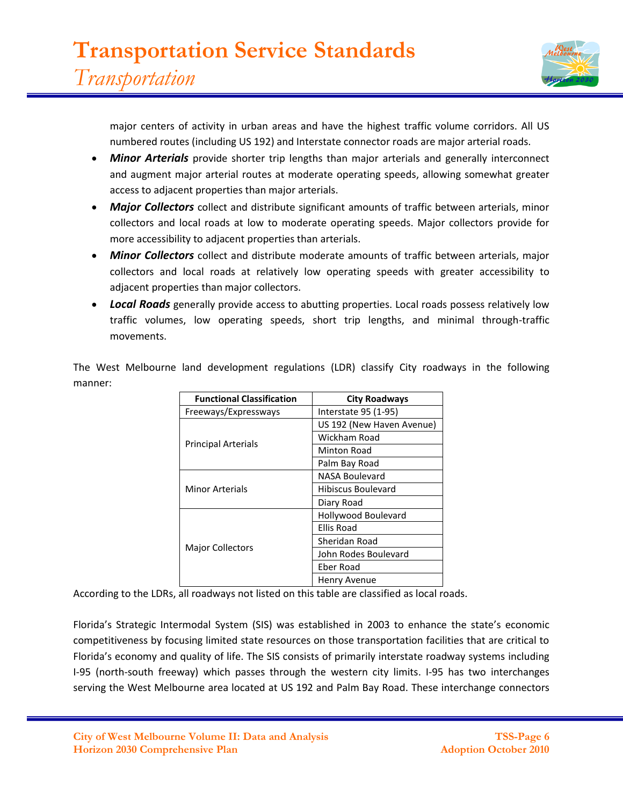

major centers of activity in urban areas and have the highest traffic volume corridors. All US numbered routes (including US 192) and Interstate connector roads are major arterial roads.

- *Minor Arterials* provide shorter trip lengths than major arterials and generally interconnect and augment major arterial routes at moderate operating speeds, allowing somewhat greater access to adjacent properties than major arterials.
- *Major Collectors* collect and distribute significant amounts of traffic between arterials, minor collectors and local roads at low to moderate operating speeds. Major collectors provide for more accessibility to adjacent properties than arterials.
- *Minor Collectors* collect and distribute moderate amounts of traffic between arterials, major collectors and local roads at relatively low operating speeds with greater accessibility to adjacent properties than major collectors.
- *Local Roads* generally provide access to abutting properties. Local roads possess relatively low traffic volumes, low operating speeds, short trip lengths, and minimal through-traffic movements.

The West Melbourne land development regulations (LDR) classify City roadways in the following manner:

| <b>Functional Classification</b> | <b>City Roadways</b>      |
|----------------------------------|---------------------------|
| Freeways/Expressways             | Interstate 95 (1-95)      |
| <b>Principal Arterials</b>       | US 192 (New Haven Avenue) |
|                                  | Wickham Road              |
|                                  | <b>Minton Road</b>        |
|                                  | Palm Bay Road             |
| Minor Arterials                  | NASA Boulevard            |
|                                  | <b>Hibiscus Boulevard</b> |
|                                  | Diary Road                |
| <b>Major Collectors</b>          | Hollywood Boulevard       |
|                                  | Ellis Road                |
|                                  | Sheridan Road             |
|                                  | John Rodes Boulevard      |
|                                  | Eber Road                 |
|                                  | Henry Avenue              |

According to the LDRs, all roadways not listed on this table are classified as local roads.

Florida's Strategic Intermodal System (SIS) was established in 2003 to enhance the state's economic competitiveness by focusing limited state resources on those transportation facilities that are critical to Florida's economy and quality of life. The SIS consists of primarily interstate roadway systems including I-95 (north-south freeway) which passes through the western city limits. I-95 has two interchanges serving the West Melbourne area located at US 192 and Palm Bay Road. These interchange connectors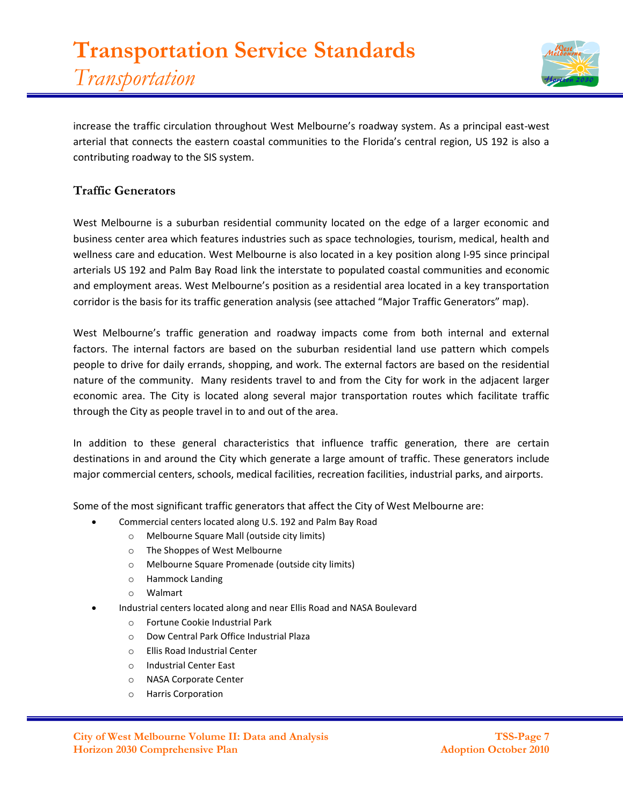

increase the traffic circulation throughout West Melbourne's roadway system. As a principal east-west arterial that connects the eastern coastal communities to the Florida's central region, US 192 is also a contributing roadway to the SIS system.

# **Traffic Generators**

West Melbourne is a suburban residential community located on the edge of a larger economic and business center area which features industries such as space technologies, tourism, medical, health and wellness care and education. West Melbourne is also located in a key position along I-95 since principal arterials US 192 and Palm Bay Road link the interstate to populated coastal communities and economic and employment areas. West Melbourne's position as a residential area located in a key transportation corridor is the basis for its traffic generation analysis (see attached "Major Traffic Generators" map).

West Melbourne's traffic generation and roadway impacts come from both internal and external factors. The internal factors are based on the suburban residential land use pattern which compels people to drive for daily errands, shopping, and work. The external factors are based on the residential nature of the community. Many residents travel to and from the City for work in the adjacent larger economic area. The City is located along several major transportation routes which facilitate traffic through the City as people travel in to and out of the area.

In addition to these general characteristics that influence traffic generation, there are certain destinations in and around the City which generate a large amount of traffic. These generators include major commercial centers, schools, medical facilities, recreation facilities, industrial parks, and airports.

Some of the most significant traffic generators that affect the City of West Melbourne are:

- Commercial centers located along U.S. 192 and Palm Bay Road
	- o Melbourne Square Mall (outside city limits)
	- o The Shoppes of West Melbourne
	- o Melbourne Square Promenade (outside city limits)
	- o Hammock Landing
	- o Walmart
- Industrial centers located along and near Ellis Road and NASA Boulevard
	- o Fortune Cookie Industrial Park
	- o Dow Central Park Office Industrial Plaza
	- o Ellis Road Industrial Center
	- o Industrial Center East
	- o NASA Corporate Center
	- o Harris Corporation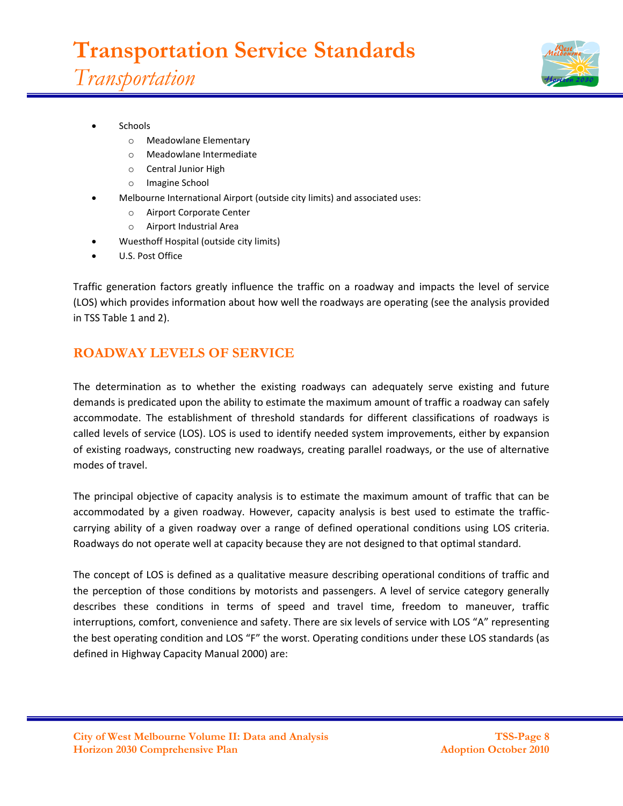

- **Schools** 
	- o Meadowlane Elementary
	- o Meadowlane Intermediate
	- o Central Junior High
	- o Imagine School
	- Melbourne International Airport (outside city limits) and associated uses:
		- o Airport Corporate Center
		- o Airport Industrial Area
- Wuesthoff Hospital (outside city limits)
- U.S. Post Office

Traffic generation factors greatly influence the traffic on a roadway and impacts the level of service (LOS) which provides information about how well the roadways are operating (see the analysis provided in TSS Table 1 and 2).

# **ROADWAY LEVELS OF SERVICE**

The determination as to whether the existing roadways can adequately serve existing and future demands is predicated upon the ability to estimate the maximum amount of traffic a roadway can safely accommodate. The establishment of threshold standards for different classifications of roadways is called levels of service (LOS). LOS is used to identify needed system improvements, either by expansion of existing roadways, constructing new roadways, creating parallel roadways, or the use of alternative modes of travel.

The principal objective of capacity analysis is to estimate the maximum amount of traffic that can be accommodated by a given roadway. However, capacity analysis is best used to estimate the trafficcarrying ability of a given roadway over a range of defined operational conditions using LOS criteria. Roadways do not operate well at capacity because they are not designed to that optimal standard.

The concept of LOS is defined as a qualitative measure describing operational conditions of traffic and the perception of those conditions by motorists and passengers. A level of service category generally describes these conditions in terms of speed and travel time, freedom to maneuver, traffic interruptions, comfort, convenience and safety. There are six levels of service with LOS "A" representing the best operating condition and LOS "F" the worst. Operating conditions under these LOS standards (as defined in Highway Capacity Manual 2000) are: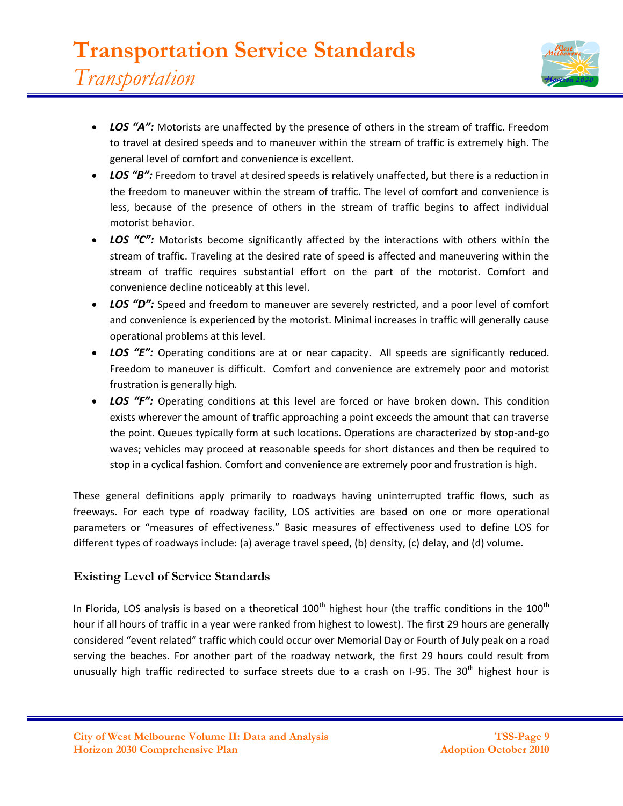

- *LOS "A":* Motorists are unaffected by the presence of others in the stream of traffic. Freedom to travel at desired speeds and to maneuver within the stream of traffic is extremely high. The general level of comfort and convenience is excellent.
- LOS "B": Freedom to travel at desired speeds is relatively unaffected, but there is a reduction in the freedom to maneuver within the stream of traffic. The level of comfort and convenience is less, because of the presence of others in the stream of traffic begins to affect individual motorist behavior.
- LOS "C": Motorists become significantly affected by the interactions with others within the stream of traffic. Traveling at the desired rate of speed is affected and maneuvering within the stream of traffic requires substantial effort on the part of the motorist. Comfort and convenience decline noticeably at this level.
- LOS "D": Speed and freedom to maneuver are severely restricted, and a poor level of comfort and convenience is experienced by the motorist. Minimal increases in traffic will generally cause operational problems at this level.
- LOS "E": Operating conditions are at or near capacity. All speeds are significantly reduced. Freedom to maneuver is difficult. Comfort and convenience are extremely poor and motorist frustration is generally high.
- LOS "F": Operating conditions at this level are forced or have broken down. This condition exists wherever the amount of traffic approaching a point exceeds the amount that can traverse the point. Queues typically form at such locations. Operations are characterized by stop-and-go waves; vehicles may proceed at reasonable speeds for short distances and then be required to stop in a cyclical fashion. Comfort and convenience are extremely poor and frustration is high.

These general definitions apply primarily to roadways having uninterrupted traffic flows, such as freeways. For each type of roadway facility, LOS activities are based on one or more operational parameters or "measures of effectiveness." Basic measures of effectiveness used to define LOS for different types of roadways include: (a) average travel speed, (b) density, (c) delay, and (d) volume.

# **Existing Level of Service Standards**

In Florida, LOS analysis is based on a theoretical  $100<sup>th</sup>$  highest hour (the traffic conditions in the  $100<sup>th</sup>$ hour if all hours of traffic in a year were ranked from highest to lowest). The first 29 hours are generally considered "event related" traffic which could occur over Memorial Day or Fourth of July peak on a road serving the beaches. For another part of the roadway network, the first 29 hours could result from unusually high traffic redirected to surface streets due to a crash on I-95. The 30<sup>th</sup> highest hour is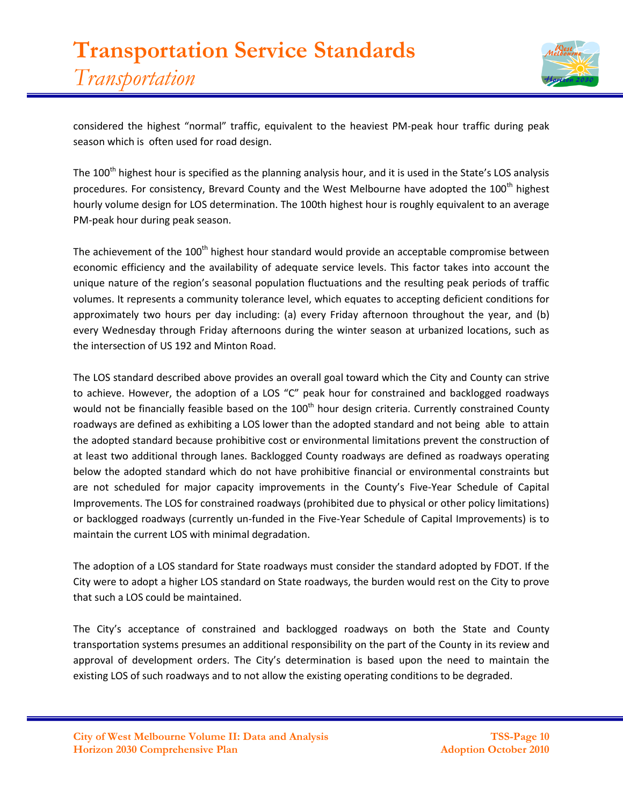

considered the highest "normal" traffic, equivalent to the heaviest PM-peak hour traffic during peak season which is often used for road design.

The 100<sup>th</sup> highest hour is specified as the planning analysis hour, and it is used in the State's LOS analysis procedures. For consistency, Brevard County and the West Melbourne have adopted the 100<sup>th</sup> highest hourly volume design for LOS determination. The 100th highest hour is roughly equivalent to an average PM-peak hour during peak season.

The achievement of the  $100<sup>th</sup>$  highest hour standard would provide an acceptable compromise between economic efficiency and the availability of adequate service levels. This factor takes into account the unique nature of the region's seasonal population fluctuations and the resulting peak periods of traffic volumes. It represents a community tolerance level, which equates to accepting deficient conditions for approximately two hours per day including: (a) every Friday afternoon throughout the year, and (b) every Wednesday through Friday afternoons during the winter season at urbanized locations, such as the intersection of US 192 and Minton Road.

The LOS standard described above provides an overall goal toward which the City and County can strive to achieve. However, the adoption of a LOS "C" peak hour for constrained and backlogged roadways would not be financially feasible based on the 100<sup>th</sup> hour design criteria. Currently constrained County roadways are defined as exhibiting a LOS lower than the adopted standard and not being able to attain the adopted standard because prohibitive cost or environmental limitations prevent the construction of at least two additional through lanes. Backlogged County roadways are defined as roadways operating below the adopted standard which do not have prohibitive financial or environmental constraints but are not scheduled for major capacity improvements in the County's Five-Year Schedule of Capital Improvements. The LOS for constrained roadways (prohibited due to physical or other policy limitations) or backlogged roadways (currently un-funded in the Five-Year Schedule of Capital Improvements) is to maintain the current LOS with minimal degradation.

The adoption of a LOS standard for State roadways must consider the standard adopted by FDOT. If the City were to adopt a higher LOS standard on State roadways, the burden would rest on the City to prove that such a LOS could be maintained.

The City's acceptance of constrained and backlogged roadways on both the State and County transportation systems presumes an additional responsibility on the part of the County in its review and approval of development orders. The City's determination is based upon the need to maintain the existing LOS of such roadways and to not allow the existing operating conditions to be degraded.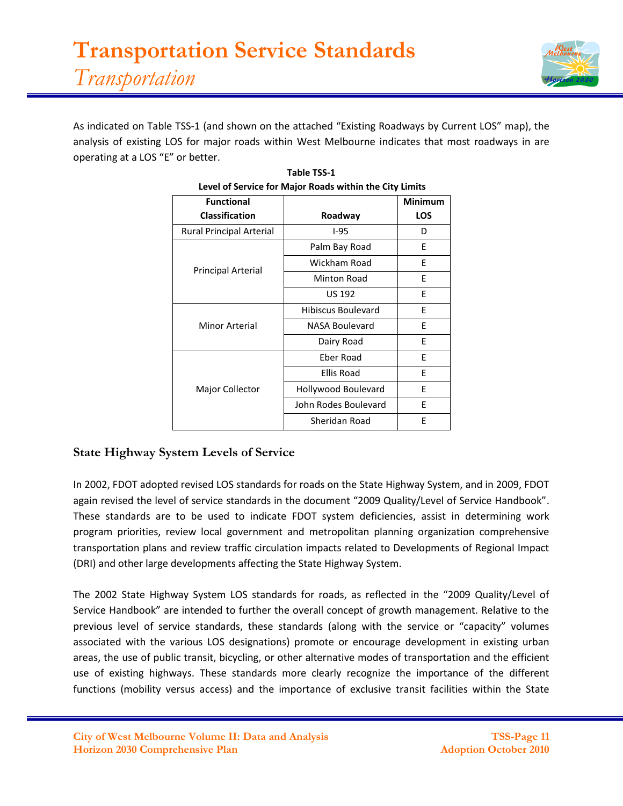

As indicated on Table TSS-1 (and shown on the attached "Existing Roadways by Current LOS" map), the analysis of existing LOS for major roads within West Melbourne indicates that most roadways in are operating at a LOS "E" or better.

| Level of Service for Major Roads within the City Limits |                      |                |  |  |  |  |  |
|---------------------------------------------------------|----------------------|----------------|--|--|--|--|--|
| <b>Functional</b>                                       |                      | <b>Minimum</b> |  |  |  |  |  |
| <b>Classification</b>                                   | Roadway              | <b>LOS</b>     |  |  |  |  |  |
| <b>Rural Principal Arterial</b>                         | $I-95$               | D              |  |  |  |  |  |
| <b>Principal Arterial</b>                               | Palm Bay Road        | E              |  |  |  |  |  |
|                                                         | Wickham Road         | E              |  |  |  |  |  |
|                                                         | <b>Minton Road</b>   | E              |  |  |  |  |  |
|                                                         | <b>US 192</b>        | E              |  |  |  |  |  |
| Minor Arterial                                          | Hibiscus Boulevard   | F              |  |  |  |  |  |
|                                                         | NASA Boulevard       | E              |  |  |  |  |  |
|                                                         | Dairy Road           | E              |  |  |  |  |  |
| Major Collector                                         | Eber Road            | E              |  |  |  |  |  |
|                                                         | Ellis Road           | E              |  |  |  |  |  |
|                                                         | Hollywood Boulevard  | F              |  |  |  |  |  |
|                                                         | John Rodes Boulevard | E              |  |  |  |  |  |
|                                                         | Sheridan Road        | E              |  |  |  |  |  |

| Table TSS-1                                                                |
|----------------------------------------------------------------------------|
| وملامينا ويبلاها والمناطر والمتبر والموجال وماجال الرواد والمسوع فوالمربور |

# **State Highway System Levels of Service**

In 2002, FDOT adopted revised LOS standards for roads on the State Highway System, and in 2009, FDOT again revised the level of service standards in the document "2009 Quality/Level of Service Handbook". These standards are to be used to indicate FDOT system deficiencies, assist in determining work program priorities, review local government and metropolitan planning organization comprehensive transportation plans and review traffic circulation impacts related to Developments of Regional Impact (DRI) and other large developments affecting the State Highway System.

The 2002 State Highway System LOS standards for roads, as reflected in the "2009 Quality/Level of Service Handbook" are intended to further the overall concept of growth management. Relative to the previous level of service standards, these standards (along with the service or "capacity" volumes associated with the various LOS designations) promote or encourage development in existing urban areas, the use of public transit, bicycling, or other alternative modes of transportation and the efficient use of existing highways. These standards more clearly recognize the importance of the different functions (mobility versus access) and the importance of exclusive transit facilities within the State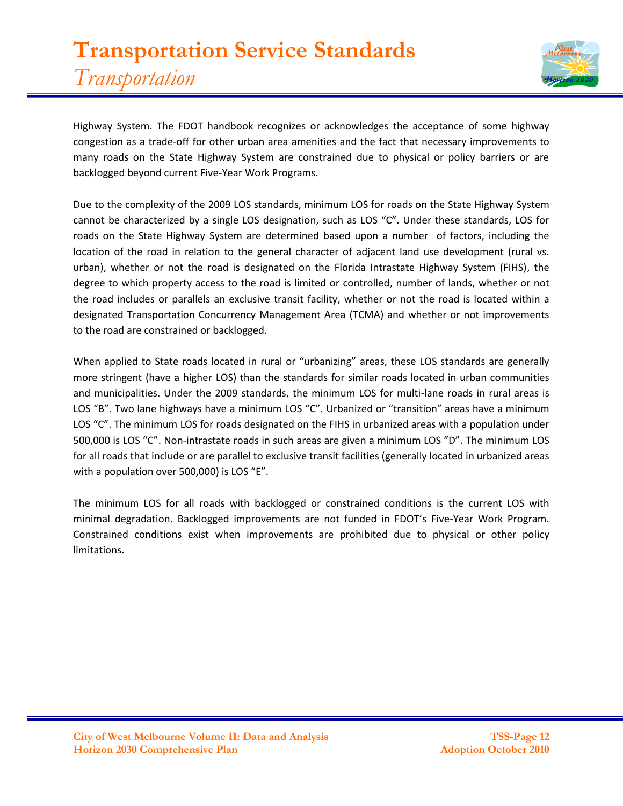# **Transportation Service Standards** *Transportation*



Highway System. The FDOT handbook recognizes or acknowledges the acceptance of some highway congestion as a trade-off for other urban area amenities and the fact that necessary improvements to many roads on the State Highway System are constrained due to physical or policy barriers or are backlogged beyond current Five-Year Work Programs.

Due to the complexity of the 2009 LOS standards, minimum LOS for roads on the State Highway System cannot be characterized by a single LOS designation, such as LOS "C". Under these standards, LOS for roads on the State Highway System are determined based upon a number of factors, including the location of the road in relation to the general character of adjacent land use development (rural vs. urban), whether or not the road is designated on the Florida Intrastate Highway System (FIHS), the degree to which property access to the road is limited or controlled, number of lands, whether or not the road includes or parallels an exclusive transit facility, whether or not the road is located within a designated Transportation Concurrency Management Area (TCMA) and whether or not improvements to the road are constrained or backlogged.

When applied to State roads located in rural or "urbanizing" areas, these LOS standards are generally more stringent (have a higher LOS) than the standards for similar roads located in urban communities and municipalities. Under the 2009 standards, the minimum LOS for multi-lane roads in rural areas is LOS "B". Two lane highways have a minimum LOS "C". Urbanized or "transition" areas have a minimum LOS "C". The minimum LOS for roads designated on the FIHS in urbanized areas with a population under 500,000 is LOS "C". Non-intrastate roads in such areas are given a minimum LOS "D". The minimum LOS for all roads that include or are parallel to exclusive transit facilities (generally located in urbanized areas with a population over 500,000) is LOS "E".

The minimum LOS for all roads with backlogged or constrained conditions is the current LOS with minimal degradation. Backlogged improvements are not funded in FDOT's Five-Year Work Program. Constrained conditions exist when improvements are prohibited due to physical or other policy limitations.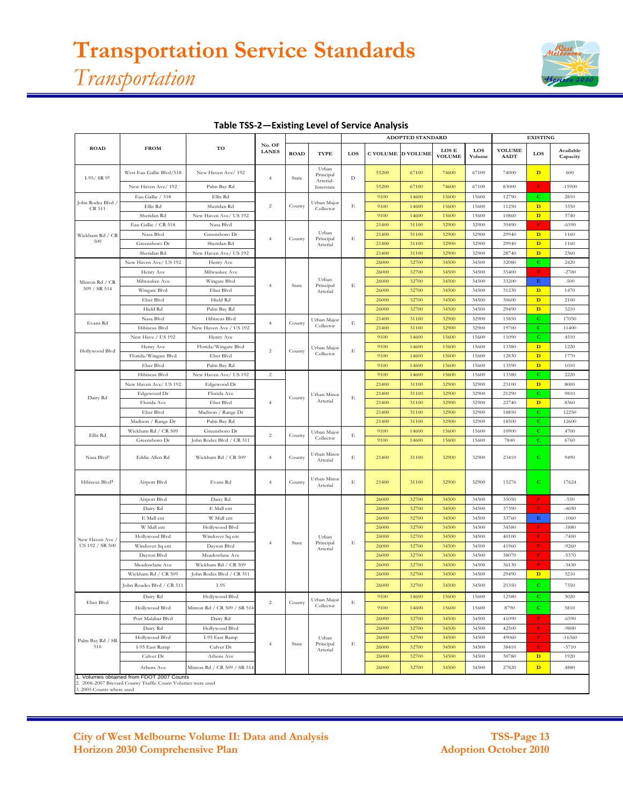# **Transportation Service Standards** *Transportation*



|                             |                                                                                             |                             |                        |             |                                 |                                           |                          | ADOPTED STANDARD |                        |               | <b>EXISTING</b>              |              |                       |
|-----------------------------|---------------------------------------------------------------------------------------------|-----------------------------|------------------------|-------------|---------------------------------|-------------------------------------------|--------------------------|------------------|------------------------|---------------|------------------------------|--------------|-----------------------|
| <b>ROAD</b>                 | <b>FROM</b>                                                                                 | TO                          | No. OF<br><b>LANES</b> | <b>ROAD</b> | <b>TYPE</b>                     | LOS                                       | <b>C VOLUME D VOLUME</b> |                  | LOS E<br><b>VOLUME</b> | LOS<br>Volume | <b>VOLUME</b><br><b>AADT</b> | LOS          | Available<br>Capacity |
| $I-95/ SR91$                | West Eau Gallie Blvd/518                                                                    | New Haven Ave/ 192          | $\overline{4}$         | State       | Urban<br>Principal<br>Arterial- | $\mathbf D$                               | 55200                    | 67100            | 74600                  | 67100         | 74000                        | $\mathbf{D}$ | 600                   |
|                             | New Haven Ave/192                                                                           | Palm Bay Rd                 |                        |             | Interstate                      |                                           | 55200                    | 67100            | 74600                  | 67100         | 83000                        | F            | $-15900$              |
|                             | Eau Gallie / 518                                                                            | Ellis Rd                    |                        |             |                                 | $\mathbf E$                               | 9100                     | 14600            | 15600                  | 15600         | 12790                        | $\mathbf C$  | 2810                  |
| John Rodes Blvd /<br>CR 511 | Ellis Rd                                                                                    | Sheridan Rd                 | $\overline{c}$         | County      | Urban Major<br>Collector        |                                           | 9100                     | 14600            | 15600                  | 15600         | 11250                        | $\mathbf{D}$ | 3350                  |
|                             | Sheridan Rd                                                                                 | New Haven Ave/ US 192       |                        |             |                                 |                                           | 9100                     | 14600            | 15600                  | 15600         | 10860                        | $\mathbf{D}$ | 3740                  |
|                             | Eau Gallie / CR 518                                                                         | Nasa Blvd                   |                        |             |                                 |                                           | 21400                    | 31100            | 32900                  | 32900         | 39490                        | $\mathbf F$  | $-6590$               |
| Wickham Rd / CR             | Nasa Blvd                                                                                   | Greensboro Dr               |                        | County      | Urban<br>Principal<br>Arterial  |                                           | 21400                    | 31100            | 32900                  | 32900         | 29940                        | $\mathbf{D}$ | 1160                  |
| 509                         | Greensboro Dr                                                                               | Sheridan Rd                 | $\overline{4}$         |             |                                 | $\mathbf E$                               | 21400                    | 31100            | 32900                  | 32900         | 29940                        | $\mathbf{D}$ | 1160                  |
|                             | Sheridan Rd                                                                                 | New Haven Ave/ US 192       |                        |             |                                 |                                           | 21400                    | 31100            | 32900                  | 32900         | 28740                        | $\mathbf{D}$ | 2360                  |
|                             | New Haven Ave/ US 192                                                                       | Henry Ave                   | $\overline{4}$         |             |                                 |                                           | 26000                    | 32700            | 34500                  | 34500         | 32080                        | c            | 2420                  |
|                             | Henry Ave                                                                                   | Milwaukee Ave               |                        |             |                                 |                                           | 26000                    | 32700            | 34500                  | 34500         | 35400                        | $\mathbf F$  | $-2700$               |
| Minton Rd / CR              | Milwaukee Ave                                                                               | Wingate Blvd                |                        |             | Urban                           |                                           | 26000                    | 32700            | 34500                  | 34500         | 33200                        | $\mathbf E$  | $-500$                |
| 509 / SR 514                | Wingate Blvd                                                                                | Eber Blvd                   |                        | State       | Principal<br>Arterial           | $\mathbf E$                               | 26000                    | 32700            | 34500                  | 34500         | 31230                        | $\mathbf{D}$ | 1470                  |
|                             | Eber Blvd                                                                                   | Hield Rd                    |                        |             |                                 |                                           | 26000                    | 32700            | 34500                  | 34500         | 30600                        | $\mathbf{D}$ | 2100                  |
|                             | Hield Rd                                                                                    | Palm Bay Rd                 |                        |             |                                 |                                           | 26000                    | 32700            | 34500                  | 34500         | 29490                        | $\mathbf{D}$ | 3210                  |
|                             | Nasa Blvd                                                                                   | Hibiscus Blvd               |                        |             | Urban Major                     | $\mathbf E$<br>$\mathbf E$<br>$\mathbf E$ | 21400                    | 31100            | 32900                  | 32900         | 15850                        | с            | 17050                 |
| Evans Rd                    | Hibiscus Blvd                                                                               | New Haven Ave / US 192      | $\overline{4}$         | County      | Collector                       |                                           | 21400                    | 31100            | 32900                  | 32900         | 19700                        | c            | 11400                 |
|                             | New Have / US 192                                                                           | Henry Ave                   |                        |             |                                 |                                           | 9100                     | 14600            | 15600                  | 15600         | 11090                        | с            | 4510                  |
|                             | Henry Ave                                                                                   | Florida/Wingate Blvd        |                        |             | Urban Major                     |                                           | 9100                     | 14600            | 15600                  | 15600         | 13380                        | $\mathbf{D}$ | 1220                  |
| Hollywood Blvd              | Florida/Wingate Blvd                                                                        | Eber Blvd                   | $\,2$                  | County      | Collector                       |                                           | 9100                     | 14600            | 15600                  | 15600         | 12830                        | $\mathbf{D}$ | 1770                  |
|                             | Eber Blvd                                                                                   | Palm Bay Rd                 |                        |             |                                 |                                           | 9100                     | 14600            | 15600                  | 15600         | 13590                        | $\mathbf{D}$ | 1010                  |
|                             | Hibiscus Blvd                                                                               | New Haven Ave/ US 192       | $\overline{2}$         |             |                                 |                                           | 9100                     | 14600            | 15600                  | 15600         | 13380                        | с            | 2220                  |
|                             | New Haven Ave/ US 192                                                                       | Edgewood Dr                 |                        |             |                                 |                                           | 21400                    | 31100            | 32900                  | 32900         | 23100                        | $\mathbf{D}$ | 8000                  |
|                             | Edgewood Dr                                                                                 | Florida Ave                 | $\overline{4}$         |             | Urban Minor                     |                                           | 21400                    | 31100            | 32900                  | 32900         | 21290                        | c            | 9810                  |
| Dairy Rd                    | Florida Ave                                                                                 | Eber Blvd                   |                        | County      | Arterial                        |                                           | 21400                    | 31100            | 32900                  | 32900         | 22740                        | $\mathbf{D}$ | 8360                  |
|                             | Eber Blvd                                                                                   | Madison / Range Dr          |                        |             |                                 |                                           | 21400                    | 31100            | 32900                  | 32900         | 18850                        | c            | 12250                 |
|                             | Madison / Range Dr                                                                          | Palm Bay Rd                 |                        |             |                                 |                                           | 21400                    | 31100            | 32900                  | 32900         | 18500                        | c            | 12600                 |
|                             | Wickham Rd / CR 509                                                                         | Greensboro Dr               |                        |             | Urban Major                     |                                           | 9100                     | 14600            | 15600                  | 15600         | 10900                        | с            | 4700                  |
| Ellis Rd                    | Greensboro Dr                                                                               | John Rodes Blvd / CR 511    | $\overline{2}$         | County      | Collector                       | $\mathbf E$                               | 9100                     | 14600            | 15600                  | 15600         | 7840                         | с            | 6760                  |
| Nasa Blvd <sup>2</sup>      | Eddie Allen Rd                                                                              | Wickham Rd / CR 509         | $\overline{4}$         | County      | Urban Minor<br>Arterial         | $\mathbf E$                               | 21400                    | 31100            | 32900                  | 32900         | 23410                        | с            | 9490                  |
| Hibiscus Blvd <sup>3</sup>  | Airport Blvd                                                                                | Evans Rd                    | $\overline{4}$         | County      | Urban Minor<br>Arterial         | $\mathbf E$                               | 21400                    | 31100            | 32900                  | 32900         | 15276                        | с            | 17624                 |
|                             | Airport Blvd                                                                                | Dairy Rd                    |                        | State       | Urban<br>Principal<br>Arterial  |                                           | 26000                    | 32700            | 34500                  | 34500         | 35050                        | $\mathbf F$  | $-550$                |
|                             | Dairy Rd                                                                                    | E Mall ent                  |                        |             |                                 |                                           | 26000                    | 32700            | 34500                  | 34500         | 37390                        | $\mathbf F$  | $-4690$               |
|                             | E Mall ent                                                                                  | W Mall ent                  | $\overline{4}$         |             |                                 |                                           | 26000                    | 32700            | 34500                  | 34500         | 33760                        | $\mathbf E$  | $-1060$               |
|                             | W Mall ent                                                                                  | Hollywood Blvd              |                        |             |                                 |                                           | 26000                    | 32700            | 34500                  | 34500         | 34580                        | $\mathbf F$  | $-1880$               |
| New Haven Ave /             | Hollywood Blvd                                                                              | Windover Sq ent             |                        |             |                                 | $\mathbf E$                               | 26000                    | 32700            | 34500                  | 34500         | 40100                        | F            | $-7400$               |
| US 192 / SR 500             | Windover Sq ent                                                                             | Dayton Blvd                 |                        |             |                                 |                                           | 26000                    | 32700            | 34500                  | 34500         | 41960                        | F            | $-9260$               |
|                             | Dayton Blvd                                                                                 | Meadowlane Ave              |                        |             |                                 |                                           | 26000                    | 32700            | 34500                  | 34500         | 38070                        | $\mathbf F$  | $-5370$               |
|                             | Meadowlane Ave                                                                              | Wickham Rd / CR 509         |                        |             |                                 |                                           | 26000                    | 32700            | 34500                  | 34500         | 36130                        | $\mathbf F$  | $-3430$               |
|                             | Wickham Rd / CR 509                                                                         | John Rodes Blvd / CR 511    |                        |             |                                 |                                           | 26000                    | 32700            | 34500                  | 34500         | 29490                        | $\mathbf{D}$ | 3210                  |
|                             | John Roades Blvd / CR 511                                                                   | $I-95$                      |                        |             |                                 |                                           | 26000                    | 32700            | 34500                  | 34500         | 25350                        | $\mathbf{C}$ | 7350                  |
| Eber Blvd                   | Dairy Rd                                                                                    | Hollywood Blvd              | $\,2$                  | County      | Urban Major                     | $\mathbf E$                               | 9100                     | 14600            | 15600                  | 15600         | 12580                        | с            | 3020                  |
|                             | Hollywood Blvd                                                                              | Minton Rd / CR 509 / SR 514 |                        |             | Collector                       |                                           | 9100                     | 14600            | 15600                  | 15600         | 8790                         | с            | 5810                  |
| Palm Bay Rd / SR<br>516     | Port Malabar Blvd                                                                           | Dairy Rd                    | $\overline{4}$         |             | Urban<br>Principal<br>Arterial  | $\mathbf E$                               | 26000                    | 32700            | 34500                  | 34500         | 41090                        | $\mathbf F$  | $-6590$               |
|                             | Dairy Rd                                                                                    | Hollywood Blvd              |                        |             |                                 |                                           | 26000                    | 32700            | 34500                  | 34500         | 42500                        | F            | $-9800$               |
|                             | Hollywood Blvd                                                                              | I-95 East Ramp              |                        |             |                                 |                                           | 26000                    | 32700            | 34500                  | 34500         | 49060                        | $\mathbf F$  | $-16360$              |
|                             | I-95 East Ramp                                                                              | Culver Dr                   |                        | State       |                                 |                                           | 26000                    | 32700            | 34500                  | 34500         | 38410                        | $\mathbf F$  | $-5710$               |
|                             | Culver Dr                                                                                   | Athens Ave                  |                        |             |                                 |                                           | 26000                    | 32700            | 34500                  | 34500         | 30780                        | $\mathbf{D}$ | 1920                  |
|                             | Athens Ave                                                                                  | Minton Rd / CR 509 / SR 514 |                        |             |                                 |                                           | 26000                    | 32700            | 34500                  | 34500         | 27820                        | $\mathbf{D}$ | 4880                  |
|                             | 1. Volumes obtained from FDOT 2007 Counts<br>2. 2006.2007 Broward County Traffic Count Volu |                             |                        |             |                                 |                                           |                          |                  |                        |               |                              |              |                       |

#### **Table TSS-2—Existing Level of Service Analysis**

2. 2006-2007 Brevard County Traffic Count Volumes were used 3. 2005 Counts where used

#### **City of West Melbourne Volume II: Data and Analysis TSS-Page 13 Horizon 2030 Comprehensive Plan**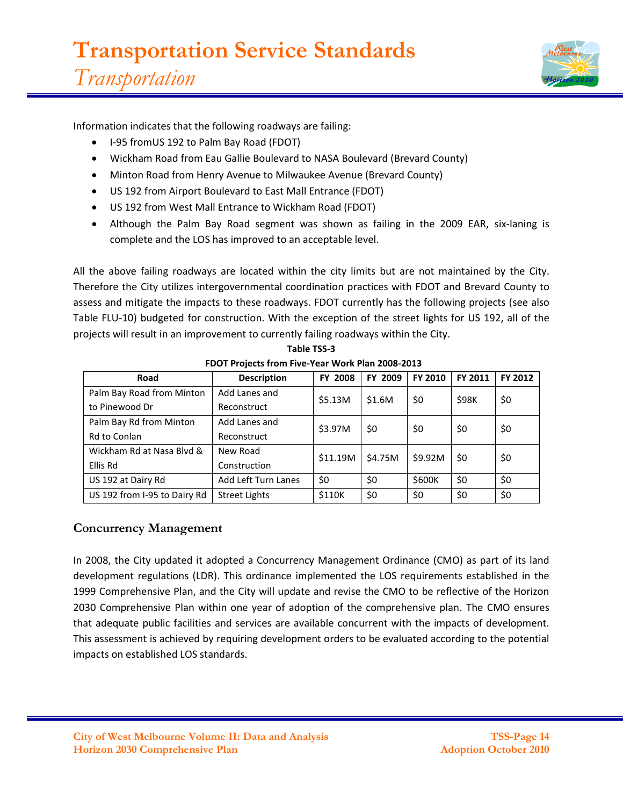

Information indicates that the following roadways are failing:

- I-95 fromUS 192 to Palm Bay Road (FDOT)
- Wickham Road from Eau Gallie Boulevard to NASA Boulevard (Brevard County)
- Minton Road from Henry Avenue to Milwaukee Avenue (Brevard County)
- US 192 from Airport Boulevard to East Mall Entrance (FDOT)
- US 192 from West Mall Entrance to Wickham Road (FDOT)
- Although the Palm Bay Road segment was shown as failing in the 2009 EAR, six-laning is complete and the LOS has improved to an acceptable level.

All the above failing roadways are located within the city limits but are not maintained by the City. Therefore the City utilizes intergovernmental coordination practices with FDOT and Brevard County to assess and mitigate the impacts to these roadways. FDOT currently has the following projects (see also Table FLU-10) budgeted for construction. With the exception of the street lights for US 192, all of the projects will result in an improvement to currently failing roadways within the City.

| Road                         | <b>Description</b>         | <b>FY 2008</b> | FY 2009 | FY 2010 | FY 2011 | FY 2012 |  |  |  |  |
|------------------------------|----------------------------|----------------|---------|---------|---------|---------|--|--|--|--|
| Palm Bay Road from Minton    | Add Lanes and              | \$5.13M        | \$1.6M  | \$0     | \$98K   | \$0     |  |  |  |  |
| to Pinewood Dr               | Reconstruct                |                |         |         |         |         |  |  |  |  |
| Palm Bay Rd from Minton      | Add Lanes and              | \$3.97M        | \$0     | \$0     | \$0     | \$0     |  |  |  |  |
| Rd to Conlan                 | Reconstruct                |                |         |         |         |         |  |  |  |  |
| Wickham Rd at Nasa Blyd &    | New Road                   | \$11.19M       | \$4.75M | \$9.92M | \$0     | \$0     |  |  |  |  |
| Ellis Rd                     | Construction               |                |         |         |         |         |  |  |  |  |
| US 192 at Dairy Rd           | <b>Add Left Turn Lanes</b> | \$0            | \$0     | \$600K  | \$0     | \$0     |  |  |  |  |
| US 192 from I-95 to Dairy Rd | <b>Street Lights</b>       | \$110K         | \$0     | \$0     | \$0     | \$0     |  |  |  |  |

**Table TSS-3 FDOT Projects from Five-Year Work Plan 2008-2013**

# **Concurrency Management**

In 2008, the City updated it adopted a Concurrency Management Ordinance (CMO) as part of its land development regulations (LDR). This ordinance implemented the LOS requirements established in the 1999 Comprehensive Plan, and the City will update and revise the CMO to be reflective of the Horizon 2030 Comprehensive Plan within one year of adoption of the comprehensive plan. The CMO ensures that adequate public facilities and services are available concurrent with the impacts of development. This assessment is achieved by requiring development orders to be evaluated according to the potential impacts on established LOS standards.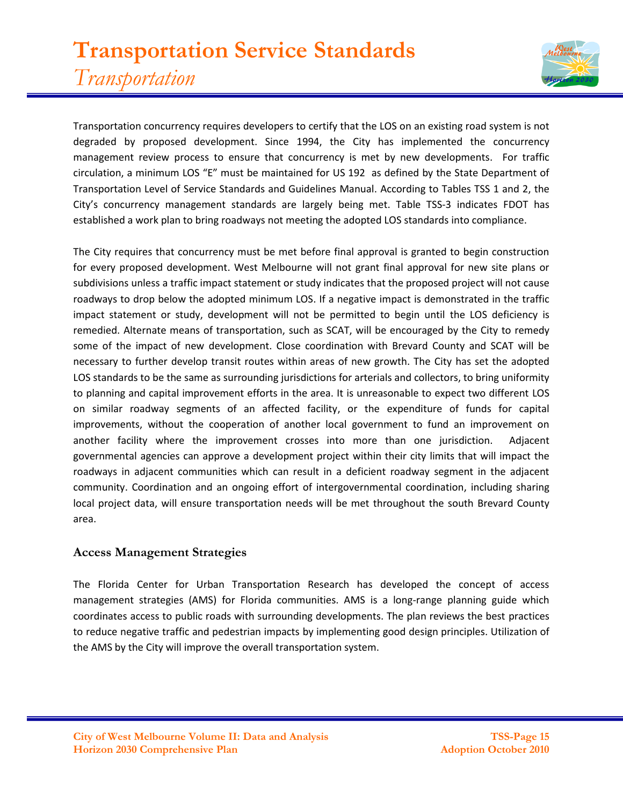# **Transportation Service Standards** *Transportation*



Transportation concurrency requires developers to certify that the LOS on an existing road system is not degraded by proposed development. Since 1994, the City has implemented the concurrency management review process to ensure that concurrency is met by new developments. For traffic circulation, a minimum LOS "E" must be maintained for US 192 as defined by the State Department of Transportation Level of Service Standards and Guidelines Manual. According to Tables TSS 1 and 2, the City's concurrency management standards are largely being met. Table TSS-3 indicates FDOT has established a work plan to bring roadways not meeting the adopted LOS standards into compliance.

The City requires that concurrency must be met before final approval is granted to begin construction for every proposed development. West Melbourne will not grant final approval for new site plans or subdivisions unless a traffic impact statement or study indicates that the proposed project will not cause roadways to drop below the adopted minimum LOS. If a negative impact is demonstrated in the traffic impact statement or study, development will not be permitted to begin until the LOS deficiency is remedied. Alternate means of transportation, such as SCAT, will be encouraged by the City to remedy some of the impact of new development. Close coordination with Brevard County and SCAT will be necessary to further develop transit routes within areas of new growth. The City has set the adopted LOS standards to be the same as surrounding jurisdictions for arterials and collectors, to bring uniformity to planning and capital improvement efforts in the area. It is unreasonable to expect two different LOS on similar roadway segments of an affected facility, or the expenditure of funds for capital improvements, without the cooperation of another local government to fund an improvement on another facility where the improvement crosses into more than one jurisdiction. Adjacent governmental agencies can approve a development project within their city limits that will impact the roadways in adjacent communities which can result in a deficient roadway segment in the adjacent community. Coordination and an ongoing effort of intergovernmental coordination, including sharing local project data, will ensure transportation needs will be met throughout the south Brevard County area.

## **Access Management Strategies**

The Florida Center for Urban Transportation Research has developed the concept of access management strategies (AMS) for Florida communities. AMS is a long-range planning guide which coordinates access to public roads with surrounding developments. The plan reviews the best practices to reduce negative traffic and pedestrian impacts by implementing good design principles. Utilization of the AMS by the City will improve the overall transportation system.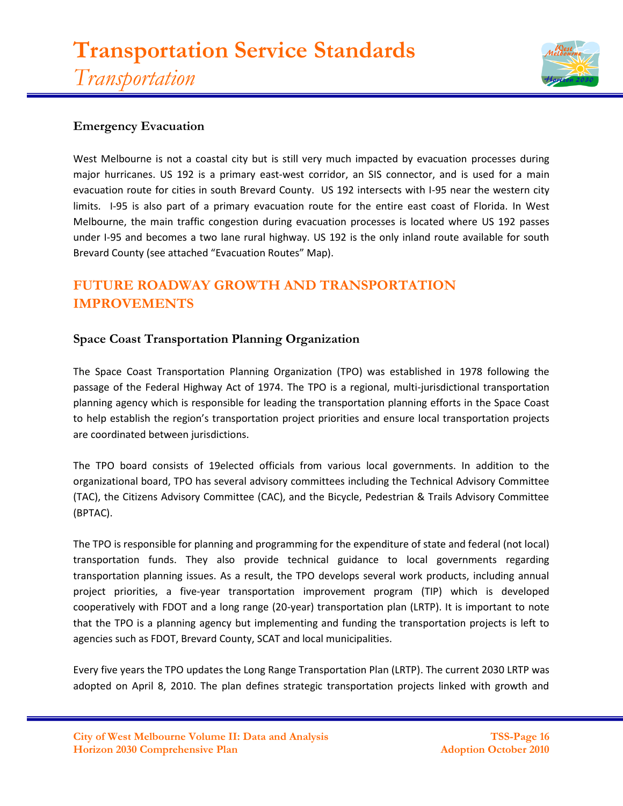

## **Emergency Evacuation**

West Melbourne is not a coastal city but is still very much impacted by evacuation processes during major hurricanes. US 192 is a primary east-west corridor, an SIS connector, and is used for a main evacuation route for cities in south Brevard County. US 192 intersects with I-95 near the western city limits. I-95 is also part of a primary evacuation route for the entire east coast of Florida. In West Melbourne, the main traffic congestion during evacuation processes is located where US 192 passes under I-95 and becomes a two lane rural highway. US 192 is the only inland route available for south Brevard County (see attached "Evacuation Routes" Map).

# **FUTURE ROADWAY GROWTH AND TRANSPORTATION IMPROVEMENTS**

## **Space Coast Transportation Planning Organization**

The Space Coast Transportation Planning Organization (TPO) was established in 1978 following the passage of the Federal Highway Act of 1974. The TPO is a regional, multi-jurisdictional transportation planning agency which is responsible for leading the transportation planning efforts in the Space Coast to help establish the region's transportation project priorities and ensure local transportation projects are coordinated between jurisdictions.

The TPO board consists of 19elected officials from various local governments. In addition to the organizational board, TPO has several advisory committees including the Technical Advisory Committee (TAC), the Citizens Advisory Committee (CAC), and the Bicycle, Pedestrian & Trails Advisory Committee (BPTAC).

The TPO is responsible for planning and programming for the expenditure of state and federal (not local) transportation funds. They also provide technical guidance to local governments regarding transportation planning issues. As a result, the TPO develops several work products, including annual project priorities, a five-year transportation improvement program (TIP) which is developed cooperatively with FDOT and a long range (20-year) transportation plan (LRTP). It is important to note that the TPO is a planning agency but implementing and funding the transportation projects is left to agencies such as FDOT, Brevard County, SCAT and local municipalities.

Every five years the TPO updates the Long Range Transportation Plan (LRTP). The current 2030 LRTP was adopted on April 8, 2010. The plan defines strategic transportation projects linked with growth and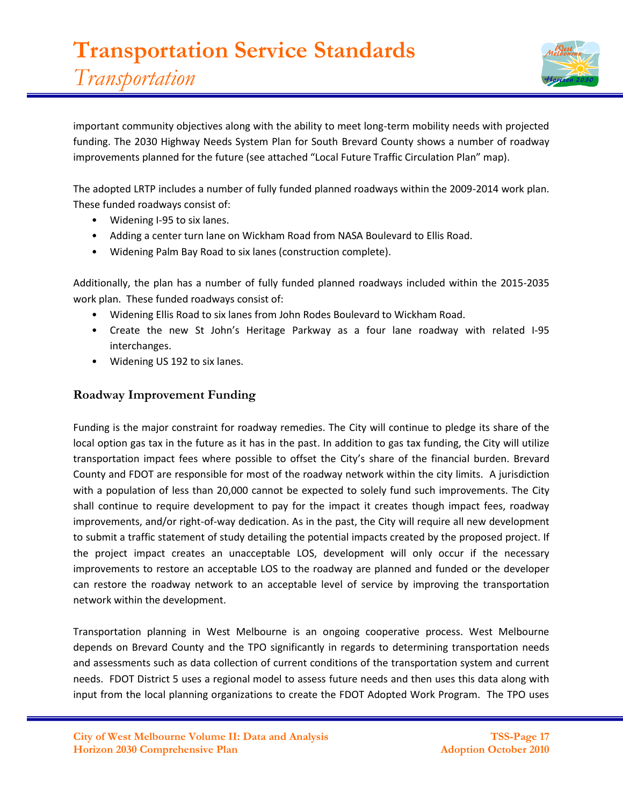

important community objectives along with the ability to meet long-term mobility needs with projected funding. The 2030 Highway Needs System Plan for South Brevard County shows a number of roadway improvements planned for the future (see attached "Local Future Traffic Circulation Plan" map).

The adopted LRTP includes a number of fully funded planned roadways within the 2009-2014 work plan. These funded roadways consist of:

- Widening I-95 to six lanes.
- Adding a center turn lane on Wickham Road from NASA Boulevard to Ellis Road.
- Widening Palm Bay Road to six lanes (construction complete).

Additionally, the plan has a number of fully funded planned roadways included within the 2015-2035 work plan. These funded roadways consist of:

- Widening Ellis Road to six lanes from John Rodes Boulevard to Wickham Road.
- Create the new St John's Heritage Parkway as a four lane roadway with related I-95 interchanges.
- Widening US 192 to six lanes.

## **Roadway Improvement Funding**

Funding is the major constraint for roadway remedies. The City will continue to pledge its share of the local option gas tax in the future as it has in the past. In addition to gas tax funding, the City will utilize transportation impact fees where possible to offset the City's share of the financial burden. Brevard County and FDOT are responsible for most of the roadway network within the city limits. A jurisdiction with a population of less than 20,000 cannot be expected to solely fund such improvements. The City shall continue to require development to pay for the impact it creates though impact fees, roadway improvements, and/or right-of-way dedication. As in the past, the City will require all new development to submit a traffic statement of study detailing the potential impacts created by the proposed project. If the project impact creates an unacceptable LOS, development will only occur if the necessary improvements to restore an acceptable LOS to the roadway are planned and funded or the developer can restore the roadway network to an acceptable level of service by improving the transportation network within the development.

Transportation planning in West Melbourne is an ongoing cooperative process. West Melbourne depends on Brevard County and the TPO significantly in regards to determining transportation needs and assessments such as data collection of current conditions of the transportation system and current needs. FDOT District 5 uses a regional model to assess future needs and then uses this data along with input from the local planning organizations to create the FDOT Adopted Work Program. The TPO uses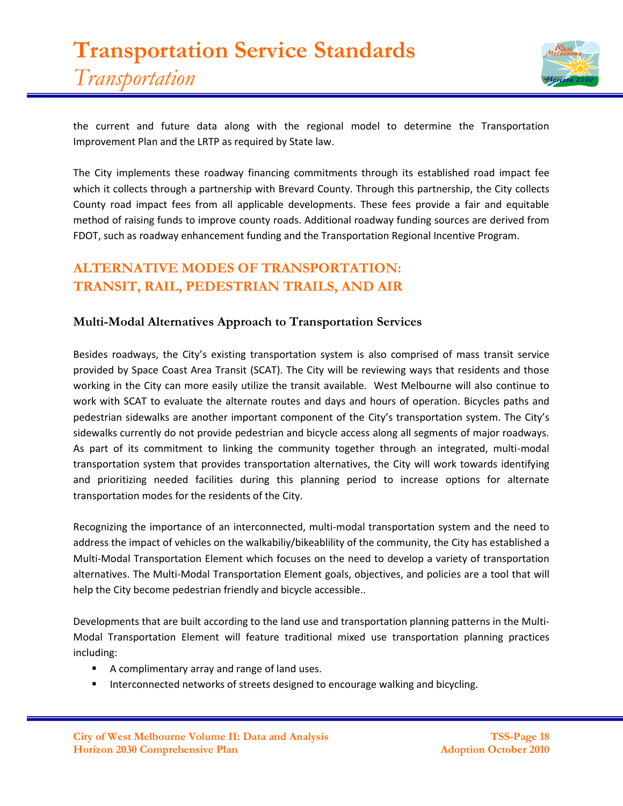

the current and future data along with the regional model to determine the Transportation Improvement Plan and the LRTP as required by State law.

The City implements these roadway financing commitments through its established road impact fee which it collects through a partnership with Brevard County. Through this partnership, the City collects County road impact fees from all applicable developments. These fees provide a fair and equitable method of raising funds to improve county roads. Additional roadway funding sources are derived from FDOT, such as roadway enhancement funding and the Transportation Regional Incentive Program.

# **ALTERNATIVE MODES OF TRANSPORTATION: TRANSIT, RAIL, PEDESTRIAN TRAILS, AND AIR**

## **Multi-Modal Alternatives Approach to Transportation Services**

Besides roadways, the City's existing transportation system is also comprised of mass transit service provided by Space Coast Area Transit (SCAT). The City will be reviewing ways that residents and those working in the City can more easily utilize the transit available. West Melbourne will also continue to work with SCAT to evaluate the alternate routes and days and hours of operation. Bicycles paths and pedestrian sidewalks are another important component of the City's transportation system. The City's sidewalks currently do not provide pedestrian and bicycle access along all segments of major roadways. As part of its commitment to linking the community together through an integrated, multi-modal transportation system that provides transportation alternatives, the City will work towards identifying and prioritizing needed facilities during this planning period to increase options for alternate transportation modes for the residents of the City.

Recognizing the importance of an interconnected, multi-modal transportation system and the need to address the impact of vehicles on the walkabiliy/bikeablility of the community, the City has established a Multi-Modal Transportation Element which focuses on the need to develop a variety of transportation alternatives. The Multi-Modal Transportation Element goals, objectives, and policies are a tool that will help the City become pedestrian friendly and bicycle accessible..

Developments that are built according to the land use and transportation planning patterns in the Multi-Modal Transportation Element will feature traditional mixed use transportation planning practices including:

- A complimentary array and range of land uses.
- **Interconnected networks of streets designed to encourage walking and bicycling.**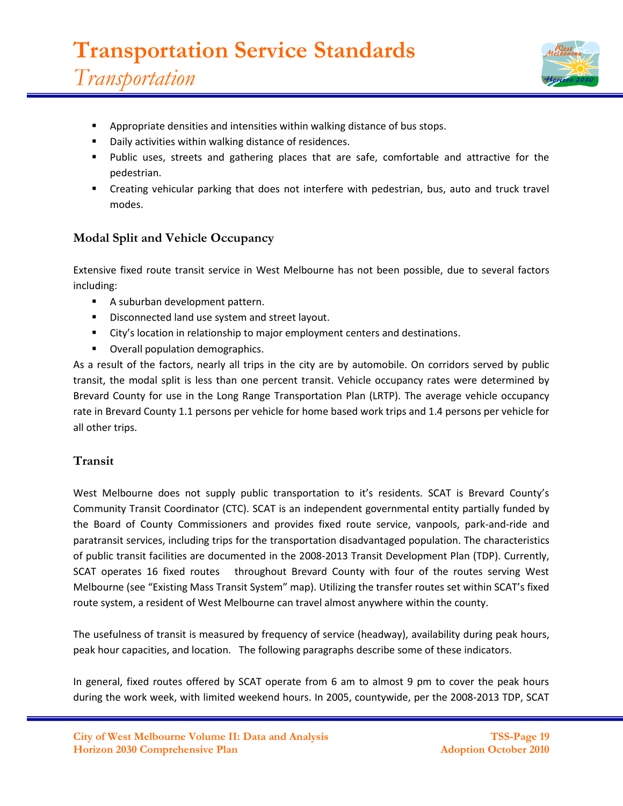

- Appropriate densities and intensities within walking distance of bus stops.
- Daily activities within walking distance of residences.
- Public uses, streets and gathering places that are safe, comfortable and attractive for the pedestrian.
- Creating vehicular parking that does not interfere with pedestrian, bus, auto and truck travel modes.

# **Modal Split and Vehicle Occupancy**

Extensive fixed route transit service in West Melbourne has not been possible, due to several factors including:

- A suburban development pattern.
- **Disconnected land use system and street layout.**
- City's location in relationship to major employment centers and destinations.
- **Overall population demographics.**

As a result of the factors, nearly all trips in the city are by automobile. On corridors served by public transit, the modal split is less than one percent transit. Vehicle occupancy rates were determined by Brevard County for use in the Long Range Transportation Plan (LRTP). The average vehicle occupancy rate in Brevard County 1.1 persons per vehicle for home based work trips and 1.4 persons per vehicle for all other trips.

## **Transit**

West Melbourne does not supply public transportation to it's residents. SCAT is Brevard County's Community Transit Coordinator (CTC). SCAT is an independent governmental entity partially funded by the Board of County Commissioners and provides fixed route service, vanpools, park-and-ride and paratransit services, including trips for the transportation disadvantaged population. The characteristics of public transit facilities are documented in the 2008-2013 Transit Development Plan (TDP). Currently, SCAT operates 16 fixed routes throughout Brevard County with four of the routes serving West Melbourne (see "Existing Mass Transit System" map). Utilizing the transfer routes set within SCAT's fixed route system, a resident of West Melbourne can travel almost anywhere within the county.

The usefulness of transit is measured by frequency of service (headway), availability during peak hours, peak hour capacities, and location. The following paragraphs describe some of these indicators.

In general, fixed routes offered by SCAT operate from 6 am to almost 9 pm to cover the peak hours during the work week, with limited weekend hours. In 2005, countywide, per the 2008-2013 TDP, SCAT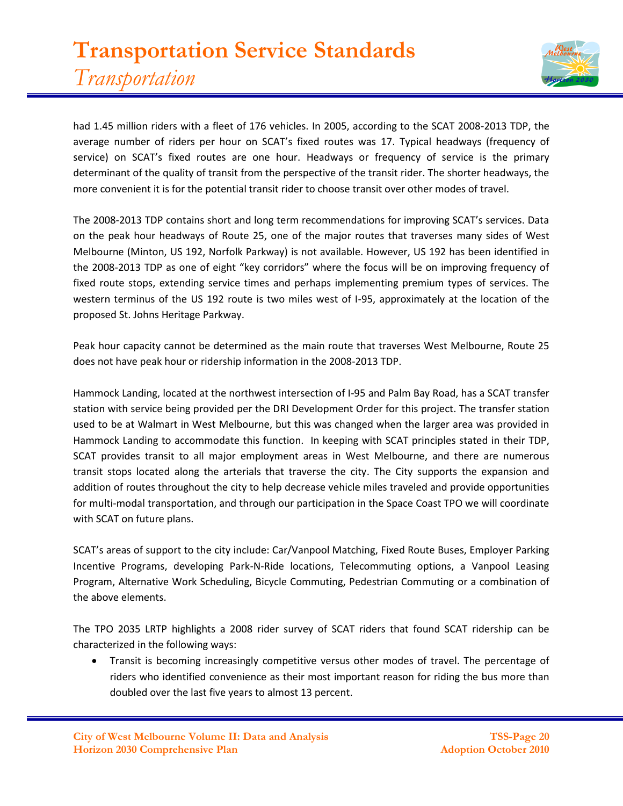

had 1.45 million riders with a fleet of 176 vehicles. In 2005, according to the SCAT 2008-2013 TDP, the average number of riders per hour on SCAT's fixed routes was 17. Typical headways (frequency of service) on SCAT's fixed routes are one hour. Headways or frequency of service is the primary determinant of the quality of transit from the perspective of the transit rider. The shorter headways, the more convenient it is for the potential transit rider to choose transit over other modes of travel.

The 2008-2013 TDP contains short and long term recommendations for improving SCAT's services. Data on the peak hour headways of Route 25, one of the major routes that traverses many sides of West Melbourne (Minton, US 192, Norfolk Parkway) is not available. However, US 192 has been identified in the 2008-2013 TDP as one of eight "key corridors" where the focus will be on improving frequency of fixed route stops, extending service times and perhaps implementing premium types of services. The western terminus of the US 192 route is two miles west of I-95, approximately at the location of the proposed St. Johns Heritage Parkway.

Peak hour capacity cannot be determined as the main route that traverses West Melbourne, Route 25 does not have peak hour or ridership information in the 2008-2013 TDP.

Hammock Landing, located at the northwest intersection of I-95 and Palm Bay Road, has a SCAT transfer station with service being provided per the DRI Development Order for this project. The transfer station used to be at Walmart in West Melbourne, but this was changed when the larger area was provided in Hammock Landing to accommodate this function. In keeping with SCAT principles stated in their TDP, SCAT provides transit to all major employment areas in West Melbourne, and there are numerous transit stops located along the arterials that traverse the city. The City supports the expansion and addition of routes throughout the city to help decrease vehicle miles traveled and provide opportunities for multi-modal transportation, and through our participation in the Space Coast TPO we will coordinate with SCAT on future plans.

SCAT's areas of support to the city include: Car/Vanpool Matching, Fixed Route Buses, Employer Parking Incentive Programs, developing Park-N-Ride locations, Telecommuting options, a Vanpool Leasing Program, Alternative Work Scheduling, Bicycle Commuting, Pedestrian Commuting or a combination of the above elements.

The TPO 2035 LRTP highlights a 2008 rider survey of SCAT riders that found SCAT ridership can be characterized in the following ways:

 Transit is becoming increasingly competitive versus other modes of travel. The percentage of riders who identified convenience as their most important reason for riding the bus more than doubled over the last five years to almost 13 percent.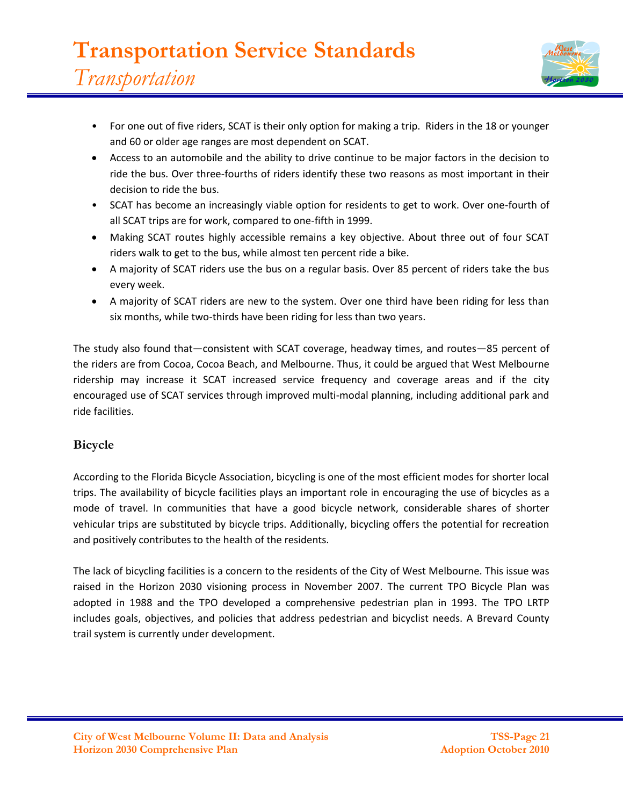

- For one out of five riders, SCAT is their only option for making a trip. Riders in the 18 or younger and 60 or older age ranges are most dependent on SCAT.
- Access to an automobile and the ability to drive continue to be major factors in the decision to ride the bus. Over three-fourths of riders identify these two reasons as most important in their decision to ride the bus.
- SCAT has become an increasingly viable option for residents to get to work. Over one-fourth of all SCAT trips are for work, compared to one-fifth in 1999.
- Making SCAT routes highly accessible remains a key objective. About three out of four SCAT riders walk to get to the bus, while almost ten percent ride a bike.
- A majority of SCAT riders use the bus on a regular basis. Over 85 percent of riders take the bus every week.
- A majority of SCAT riders are new to the system. Over one third have been riding for less than six months, while two-thirds have been riding for less than two years.

The study also found that—consistent with SCAT coverage, headway times, and routes—85 percent of the riders are from Cocoa, Cocoa Beach, and Melbourne. Thus, it could be argued that West Melbourne ridership may increase it SCAT increased service frequency and coverage areas and if the city encouraged use of SCAT services through improved multi-modal planning, including additional park and ride facilities.

# **Bicycle**

According to the Florida Bicycle Association, bicycling is one of the most efficient modes for shorter local trips. The availability of bicycle facilities plays an important role in encouraging the use of bicycles as a mode of travel. In communities that have a good bicycle network, considerable shares of shorter vehicular trips are substituted by bicycle trips. Additionally, bicycling offers the potential for recreation and positively contributes to the health of the residents.

The lack of bicycling facilities is a concern to the residents of the City of West Melbourne. This issue was raised in the Horizon 2030 visioning process in November 2007. The current TPO Bicycle Plan was adopted in 1988 and the TPO developed a comprehensive pedestrian plan in 1993. The TPO LRTP includes goals, objectives, and policies that address pedestrian and bicyclist needs. A Brevard County trail system is currently under development.